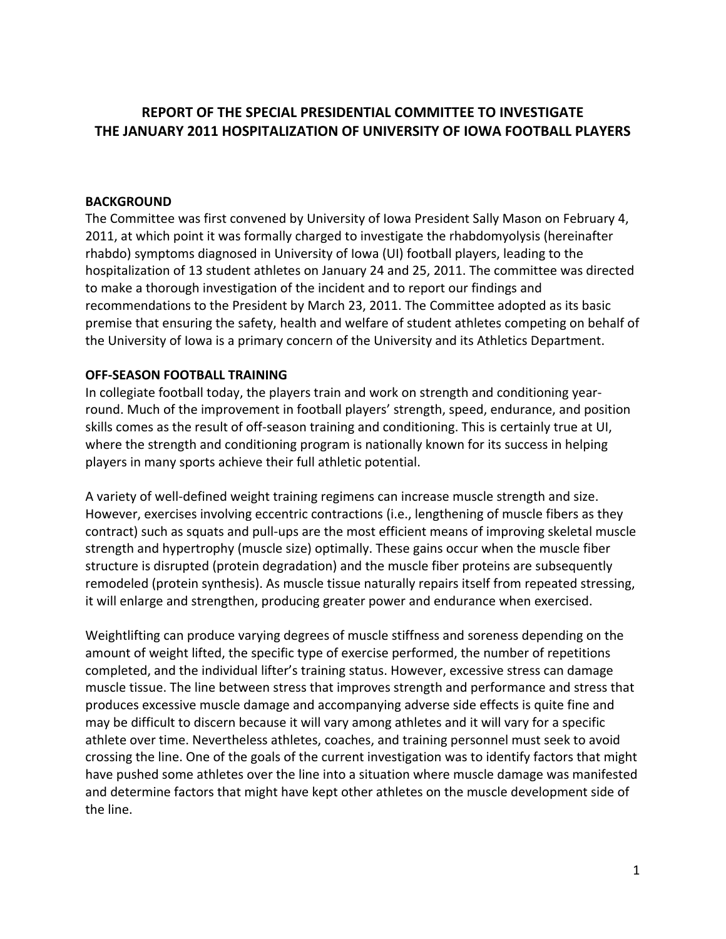# **REPORT OF THE SPECIAL PRESIDENTIAL COMMITTEE TO INVESTIGATE THE JANUARY 2011 HOSPITALIZATION OF UNIVERSITY OF IOWA FOOTBALL PLAYERS**

### **BACKGROUND**

The Committee was first convened by University of Iowa President Sally Mason on February 4, 2011, at which point it was formally charged to investigate the rhabdomyolysis (hereinafter rhabdo) symptoms diagnosed in University of Iowa (UI) football players, leading to the hospitalization of 13 student athletes on January 24 and 25, 2011. The committee was directed to make a thorough investigation of the incident and to report our findings and recommendations to the President by March 23, 2011. The Committee adopted as its basic premise that ensuring the safety, health and welfare of student athletes competing on behalf of the University of Iowa is a primary concern of the University and its Athletics Department.

#### **OFF‐SEASON FOOTBALL TRAINING**

In collegiate football today, the players train and work on strength and conditioning year‐ round. Much of the improvement in football players' strength, speed, endurance, and position skills comes as the result of off‐season training and conditioning. This is certainly true at UI, where the strength and conditioning program is nationally known for its success in helping players in many sports achieve their full athletic potential.

A variety of well‐defined weight training regimens can increase muscle strength and size. However, exercises involving eccentric contractions (i.e., lengthening of muscle fibers as they contract) such as squats and pull‐ups are the most efficient means of improving skeletal muscle strength and hypertrophy (muscle size) optimally. These gains occur when the muscle fiber structure is disrupted (protein degradation) and the muscle fiber proteins are subsequently remodeled (protein synthesis). As muscle tissue naturally repairs itself from repeated stressing, it will enlarge and strengthen, producing greater power and endurance when exercised.

Weightlifting can produce varying degrees of muscle stiffness and soreness depending on the amount of weight lifted, the specific type of exercise performed, the number of repetitions completed, and the individual lifter's training status. However, excessive stress can damage muscle tissue. The line between stress that improves strength and performance and stress that produces excessive muscle damage and accompanying adverse side effects is quite fine and may be difficult to discern because it will vary among athletes and it will vary for a specific athlete over time. Nevertheless athletes, coaches, and training personnel must seek to avoid crossing the line. One of the goals of the current investigation was to identify factors that might have pushed some athletes over the line into a situation where muscle damage was manifested and determine factors that might have kept other athletes on the muscle development side of the line.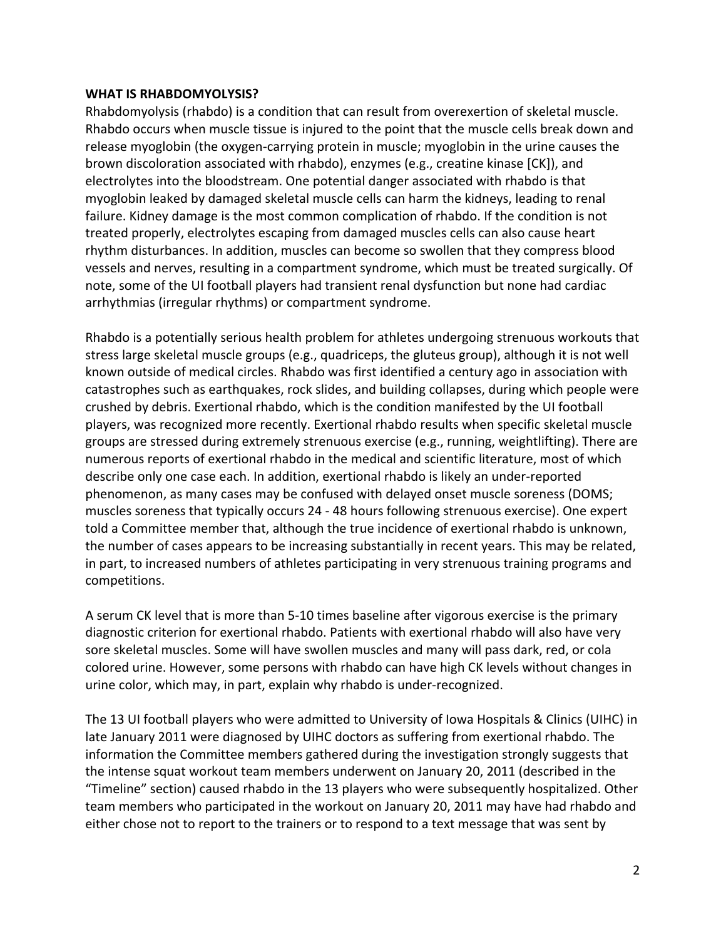#### **WHAT IS RHABDOMYOLYSIS?**

Rhabdomyolysis (rhabdo) is a condition that can result from overexertion of skeletal muscle. Rhabdo occurs when muscle tissue is injured to the point that the muscle cells break down and release myoglobin (the oxygen‐carrying protein in muscle; myoglobin in the urine causes the brown discoloration associated with rhabdo), enzymes (e.g., creatine kinase [CK]), and electrolytes into the bloodstream. One potential danger associated with rhabdo is that myoglobin leaked by damaged skeletal muscle cells can harm the kidneys, leading to renal failure. Kidney damage is the most common complication of rhabdo. If the condition is not treated properly, electrolytes escaping from damaged muscles cells can also cause heart rhythm disturbances. In addition, muscles can become so swollen that they compress blood vessels and nerves, resulting in a compartment syndrome, which must be treated surgically. Of note, some of the UI football players had transient renal dysfunction but none had cardiac arrhythmias (irregular rhythms) or compartment syndrome.

Rhabdo is a potentially serious health problem for athletes undergoing strenuous workouts that stress large skeletal muscle groups (e.g., quadriceps, the gluteus group), although it is not well known outside of medical circles. Rhabdo was first identified a century ago in association with catastrophes such as earthquakes, rock slides, and building collapses, during which people were crushed by debris. Exertional rhabdo, which is the condition manifested by the UI football players, was recognized more recently. Exertional rhabdo results when specific skeletal muscle groups are stressed during extremely strenuous exercise (e.g., running, weightlifting). There are numerous reports of exertional rhabdo in the medical and scientific literature, most of which describe only one case each. In addition, exertional rhabdo is likely an under‐reported phenomenon, as many cases may be confused with delayed onset muscle soreness (DOMS; muscles soreness that typically occurs 24 ‐ 48 hours following strenuous exercise). One expert told a Committee member that, although the true incidence of exertional rhabdo is unknown, the number of cases appears to be increasing substantially in recent years. This may be related, in part, to increased numbers of athletes participating in very strenuous training programs and competitions.

A serum CK level that is more than 5‐10 times baseline after vigorous exercise is the primary diagnostic criterion for exertional rhabdo. Patients with exertional rhabdo will also have very sore skeletal muscles. Some will have swollen muscles and many will pass dark, red, or cola colored urine. However, some persons with rhabdo can have high CK levels without changes in urine color, which may, in part, explain why rhabdo is under‐recognized.

The 13 UI football players who were admitted to University of Iowa Hospitals & Clinics (UIHC) in late January 2011 were diagnosed by UIHC doctors as suffering from exertional rhabdo. The information the Committee members gathered during the investigation strongly suggests that the intense squat workout team members underwent on January 20, 2011 (described in the "Timeline" section) caused rhabdo in the 13 players who were subsequently hospitalized. Other team members who participated in the workout on January 20, 2011 may have had rhabdo and either chose not to report to the trainers or to respond to a text message that was sent by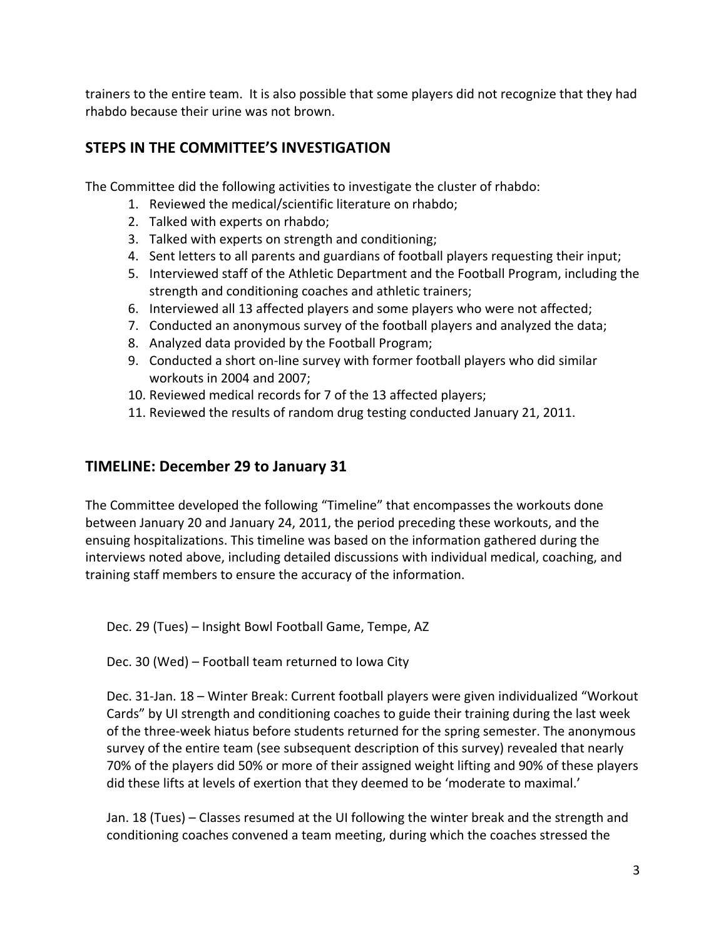trainers to the entire team. It is also possible that some players did not recognize that they had rhabdo because their urine was not brown.

# **STEPS IN THE COMMITTEE'S INVESTIGATION**

The Committee did the following activities to investigate the cluster of rhabdo:

- 1. Reviewed the medical/scientific literature on rhabdo;
- 2. Talked with experts on rhabdo;
- 3. Talked with experts on strength and conditioning;
- 4. Sent letters to all parents and guardians of football players requesting their input;
- 5. Interviewed staff of the Athletic Department and the Football Program, including the strength and conditioning coaches and athletic trainers;
- 6. Interviewed all 13 affected players and some players who were not affected;
- 7. Conducted an anonymous survey of the football players and analyzed the data;
- 8. Analyzed data provided by the Football Program;
- 9. Conducted a short on‐line survey with former football players who did similar workouts in 2004 and 2007;
- 10. Reviewed medical records for 7 of the 13 affected players;
- 11. Reviewed the results of random drug testing conducted January 21, 2011.

# **TIMELINE: December 29 to January 31**

The Committee developed the following "Timeline" that encompasses the workouts done between January 20 and January 24, 2011, the period preceding these workouts, and the ensuing hospitalizations. This timeline was based on the information gathered during the interviews noted above, including detailed discussions with individual medical, coaching, and training staff members to ensure the accuracy of the information.

Dec. 29 (Tues) – Insight Bowl Football Game, Tempe, AZ

Dec. 30 (Wed) – Football team returned to Iowa City

Dec. 31‐Jan. 18 – Winter Break: Current football players were given individualized "Workout Cards" by UI strength and conditioning coaches to guide their training during the last week of the three‐week hiatus before students returned for the spring semester. The anonymous survey of the entire team (see subsequent description of this survey) revealed that nearly 70% of the players did 50% or more of their assigned weight lifting and 90% of these players did these lifts at levels of exertion that they deemed to be 'moderate to maximal.'

Jan. 18 (Tues) – Classes resumed at the UI following the winter break and the strength and conditioning coaches convened a team meeting, during which the coaches stressed the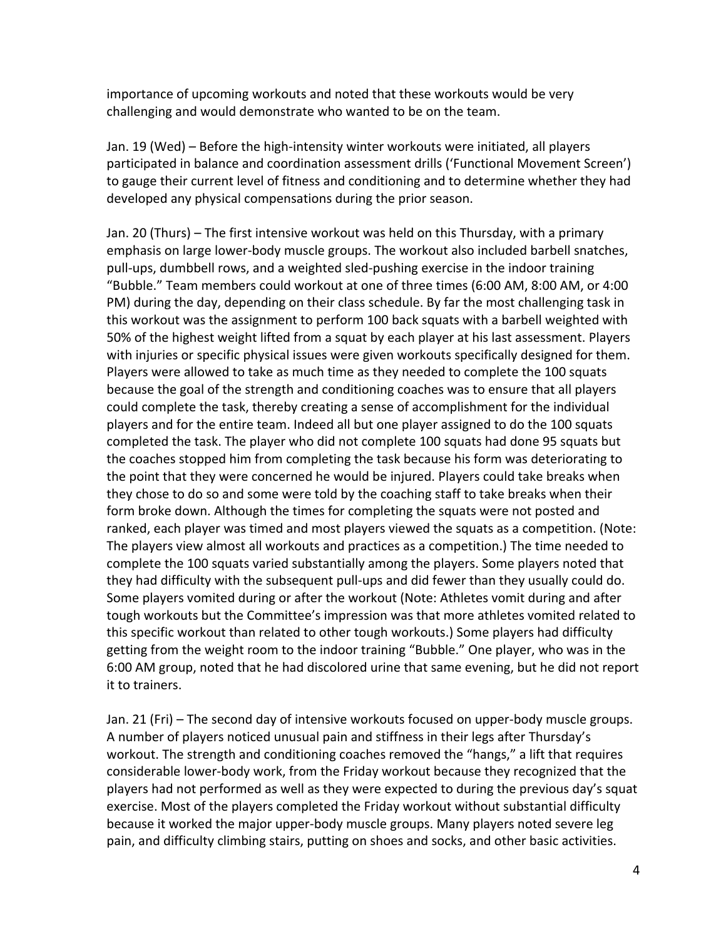importance of upcoming workouts and noted that these workouts would be very challenging and would demonstrate who wanted to be on the team.

Jan. 19 (Wed) – Before the high-intensity winter workouts were initiated, all players participated in balance and coordination assessment drills ('Functional Movement Screen') to gauge their current level of fitness and conditioning and to determine whether they had developed any physical compensations during the prior season.

Jan. 20 (Thurs) – The first intensive workout was held on this Thursday, with a primary emphasis on large lower‐body muscle groups. The workout also included barbell snatches, pull‐ups, dumbbell rows, and a weighted sled‐pushing exercise in the indoor training "Bubble." Team members could workout at one of three times (6:00 AM, 8:00 AM, or 4:00 PM) during the day, depending on their class schedule. By far the most challenging task in this workout was the assignment to perform 100 back squats with a barbell weighted with 50% of the highest weight lifted from a squat by each player at his last assessment. Players with injuries or specific physical issues were given workouts specifically designed for them. Players were allowed to take as much time as they needed to complete the 100 squats because the goal of the strength and conditioning coaches was to ensure that all players could complete the task, thereby creating a sense of accomplishment for the individual players and for the entire team. Indeed all but one player assigned to do the 100 squats completed the task. The player who did not complete 100 squats had done 95 squats but the coaches stopped him from completing the task because his form was deteriorating to the point that they were concerned he would be injured. Players could take breaks when they chose to do so and some were told by the coaching staff to take breaks when their form broke down. Although the times for completing the squats were not posted and ranked, each player was timed and most players viewed the squats as a competition. (Note: The players view almost all workouts and practices as a competition.) The time needed to complete the 100 squats varied substantially among the players. Some players noted that they had difficulty with the subsequent pull‐ups and did fewer than they usually could do. Some players vomited during or after the workout (Note: Athletes vomit during and after tough workouts but the Committee's impression was that more athletes vomited related to this specific workout than related to other tough workouts.) Some players had difficulty getting from the weight room to the indoor training "Bubble." One player, who was in the 6:00 AM group, noted that he had discolored urine that same evening, but he did not report it to trainers.

Jan. 21 (Fri) – The second day of intensive workouts focused on upper‐body muscle groups. A number of players noticed unusual pain and stiffness in their legs after Thursday's workout. The strength and conditioning coaches removed the "hangs," a lift that requires considerable lower‐body work, from the Friday workout because they recognized that the players had not performed as well as they were expected to during the previous day's squat exercise. Most of the players completed the Friday workout without substantial difficulty because it worked the major upper‐body muscle groups. Many players noted severe leg pain, and difficulty climbing stairs, putting on shoes and socks, and other basic activities.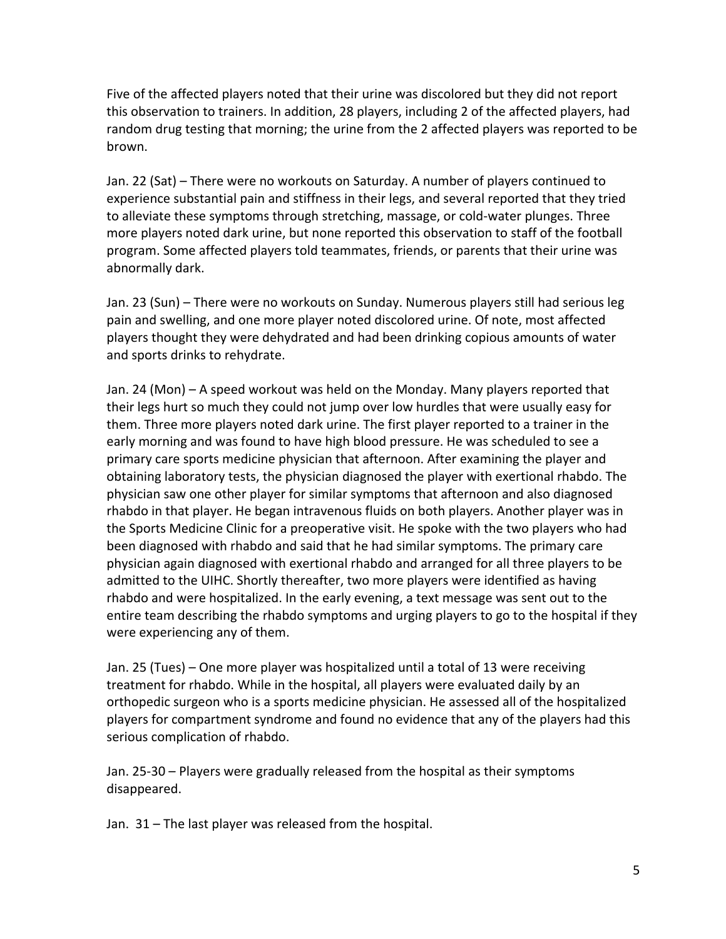Five of the affected players noted that their urine was discolored but they did not report this observation to trainers. In addition, 28 players, including 2 of the affected players, had random drug testing that morning; the urine from the 2 affected players was reported to be brown.

Jan. 22 (Sat) – There were no workouts on Saturday. A number of players continued to experience substantial pain and stiffness in their legs, and several reported that they tried to alleviate these symptoms through stretching, massage, or cold‐water plunges. Three more players noted dark urine, but none reported this observation to staff of the football program. Some affected players told teammates, friends, or parents that their urine was abnormally dark.

Jan. 23 (Sun) – There were no workouts on Sunday. Numerous players still had serious leg pain and swelling, and one more player noted discolored urine. Of note, most affected players thought they were dehydrated and had been drinking copious amounts of water and sports drinks to rehydrate.

Jan. 24 (Mon) – A speed workout was held on the Monday. Many players reported that their legs hurt so much they could not jump over low hurdles that were usually easy for them. Three more players noted dark urine. The first player reported to a trainer in the early morning and was found to have high blood pressure. He was scheduled to see a primary care sports medicine physician that afternoon. After examining the player and obtaining laboratory tests, the physician diagnosed the player with exertional rhabdo. The physician saw one other player for similar symptoms that afternoon and also diagnosed rhabdo in that player. He began intravenous fluids on both players. Another player was in the Sports Medicine Clinic for a preoperative visit. He spoke with the two players who had been diagnosed with rhabdo and said that he had similar symptoms. The primary care physician again diagnosed with exertional rhabdo and arranged for all three players to be admitted to the UIHC. Shortly thereafter, two more players were identified as having rhabdo and were hospitalized. In the early evening, a text message was sent out to the entire team describing the rhabdo symptoms and urging players to go to the hospital if they were experiencing any of them.

Jan. 25 (Tues) – One more player was hospitalized until a total of 13 were receiving treatment for rhabdo. While in the hospital, all players were evaluated daily by an orthopedic surgeon who is a sports medicine physician. He assessed all of the hospitalized players for compartment syndrome and found no evidence that any of the players had this serious complication of rhabdo.

Jan. 25‐30 – Players were gradually released from the hospital as their symptoms disappeared.

Jan. 31 – The last player was released from the hospital.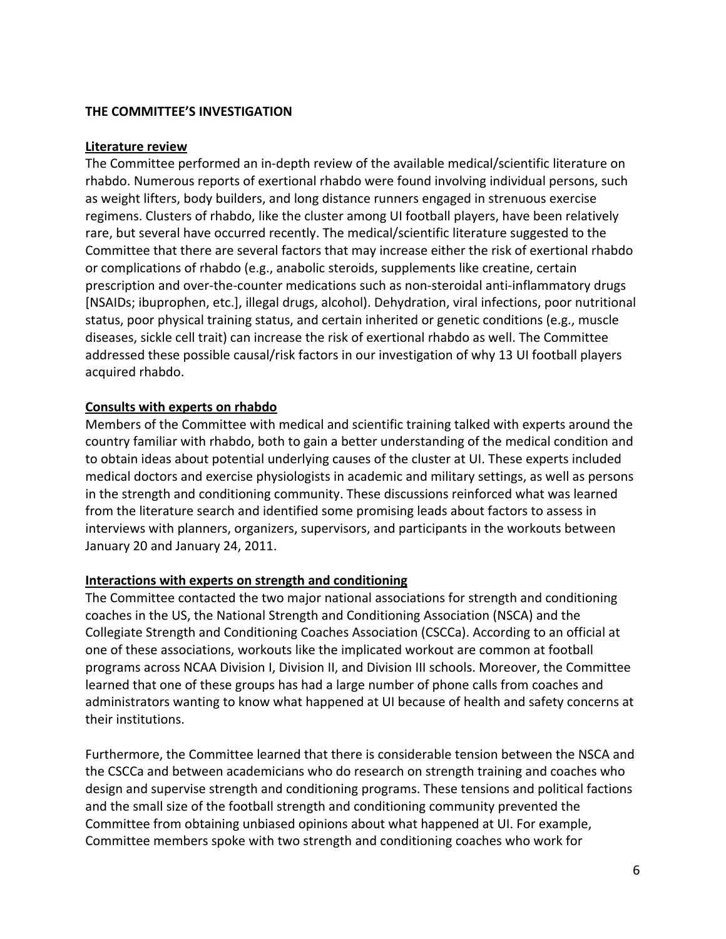### **THE COMMITTEE'S INVESTIGATION**

#### **Literature review**

The Committee performed an in‐depth review of the available medical/scientific literature on rhabdo. Numerous reports of exertional rhabdo were found involving individual persons, such as weight lifters, body builders, and long distance runners engaged in strenuous exercise regimens. Clusters of rhabdo, like the cluster among UI football players, have been relatively rare, but several have occurred recently. The medical/scientific literature suggested to the Committee that there are several factors that may increase either the risk of exertional rhabdo or complications of rhabdo (e.g., anabolic steroids, supplements like creatine, certain prescription and over‐the‐counter medications such as non‐steroidal anti‐inflammatory drugs [NSAIDs; ibuprophen, etc.], illegal drugs, alcohol). Dehydration, viral infections, poor nutritional status, poor physical training status, and certain inherited or genetic conditions (e.g., muscle diseases, sickle cell trait) can increase the risk of exertional rhabdo as well. The Committee addressed these possible causal/risk factors in our investigation of why 13 UI football players acquired rhabdo.

#### **Consults with experts on rhabdo**

Members of the Committee with medical and scientific training talked with experts around the country familiar with rhabdo, both to gain a better understanding of the medical condition and to obtain ideas about potential underlying causes of the cluster at UI. These experts included medical doctors and exercise physiologists in academic and military settings, as well as persons in the strength and conditioning community. These discussions reinforced what was learned from the literature search and identified some promising leads about factors to assess in interviews with planners, organizers, supervisors, and participants in the workouts between January 20 and January 24, 2011.

#### **Interactions with experts on strength and conditioning**

The Committee contacted the two major national associations for strength and conditioning coaches in the US, the National Strength and Conditioning Association (NSCA) and the Collegiate Strength and Conditioning Coaches Association (CSCCa). According to an official at one of these associations, workouts like the implicated workout are common at football programs across NCAA Division I, Division II, and Division III schools. Moreover, the Committee learned that one of these groups has had a large number of phone calls from coaches and administrators wanting to know what happened at UI because of health and safety concerns at their institutions.

Furthermore, the Committee learned that there is considerable tension between the NSCA and the CSCCa and between academicians who do research on strength training and coaches who design and supervise strength and conditioning programs. These tensions and political factions and the small size of the football strength and conditioning community prevented the Committee from obtaining unbiased opinions about what happened at UI. For example, Committee members spoke with two strength and conditioning coaches who work for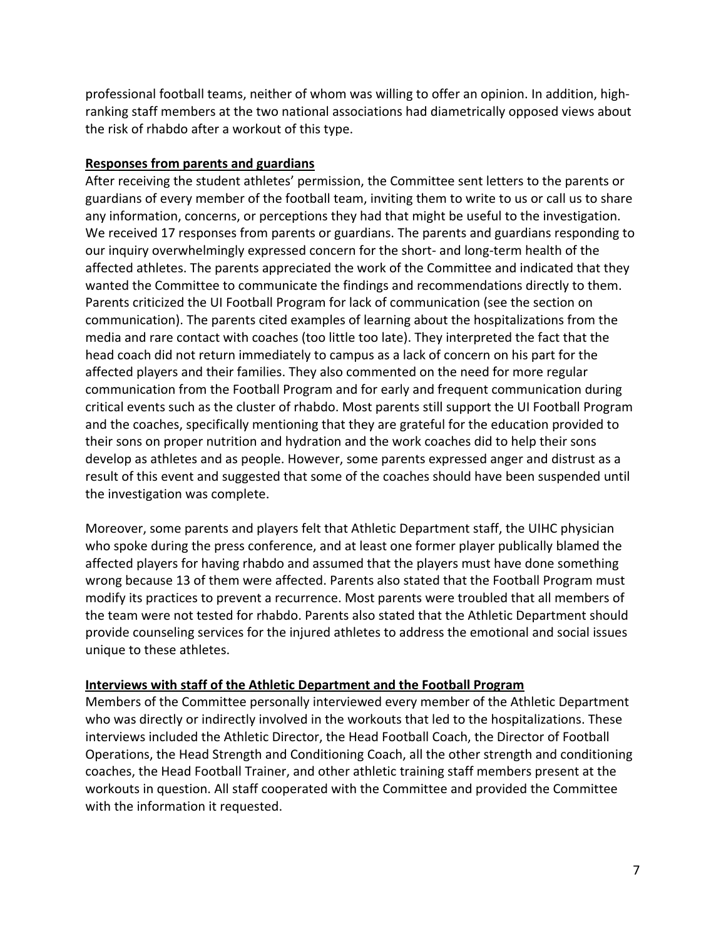professional football teams, neither of whom was willing to offer an opinion. In addition, high‐ ranking staff members at the two national associations had diametrically opposed views about the risk of rhabdo after a workout of this type.

### **Responses from parents and guardians**

After receiving the student athletes' permission, the Committee sent letters to the parents or guardians of every member of the football team, inviting them to write to us or call us to share any information, concerns, or perceptions they had that might be useful to the investigation. We received 17 responses from parents or guardians. The parents and guardians responding to our inquiry overwhelmingly expressed concern for the short‐ and long‐term health of the affected athletes. The parents appreciated the work of the Committee and indicated that they wanted the Committee to communicate the findings and recommendations directly to them. Parents criticized the UI Football Program for lack of communication (see the section on communication). The parents cited examples of learning about the hospitalizations from the media and rare contact with coaches (too little too late). They interpreted the fact that the head coach did not return immediately to campus as a lack of concern on his part for the affected players and their families. They also commented on the need for more regular communication from the Football Program and for early and frequent communication during critical events such as the cluster of rhabdo. Most parents still support the UI Football Program and the coaches, specifically mentioning that they are grateful for the education provided to their sons on proper nutrition and hydration and the work coaches did to help their sons develop as athletes and as people. However, some parents expressed anger and distrust as a result of this event and suggested that some of the coaches should have been suspended until the investigation was complete.

Moreover, some parents and players felt that Athletic Department staff, the UIHC physician who spoke during the press conference, and at least one former player publically blamed the affected players for having rhabdo and assumed that the players must have done something wrong because 13 of them were affected. Parents also stated that the Football Program must modify its practices to prevent a recurrence. Most parents were troubled that all members of the team were not tested for rhabdo. Parents also stated that the Athletic Department should provide counseling services for the injured athletes to address the emotional and social issues unique to these athletes.

## **Interviews with staff of the Athletic Department and the Football Program**

Members of the Committee personally interviewed every member of the Athletic Department who was directly or indirectly involved in the workouts that led to the hospitalizations. These interviews included the Athletic Director, the Head Football Coach, the Director of Football Operations, the Head Strength and Conditioning Coach, all the other strength and conditioning coaches, the Head Football Trainer, and other athletic training staff members present at the workouts in question. All staff cooperated with the Committee and provided the Committee with the information it requested.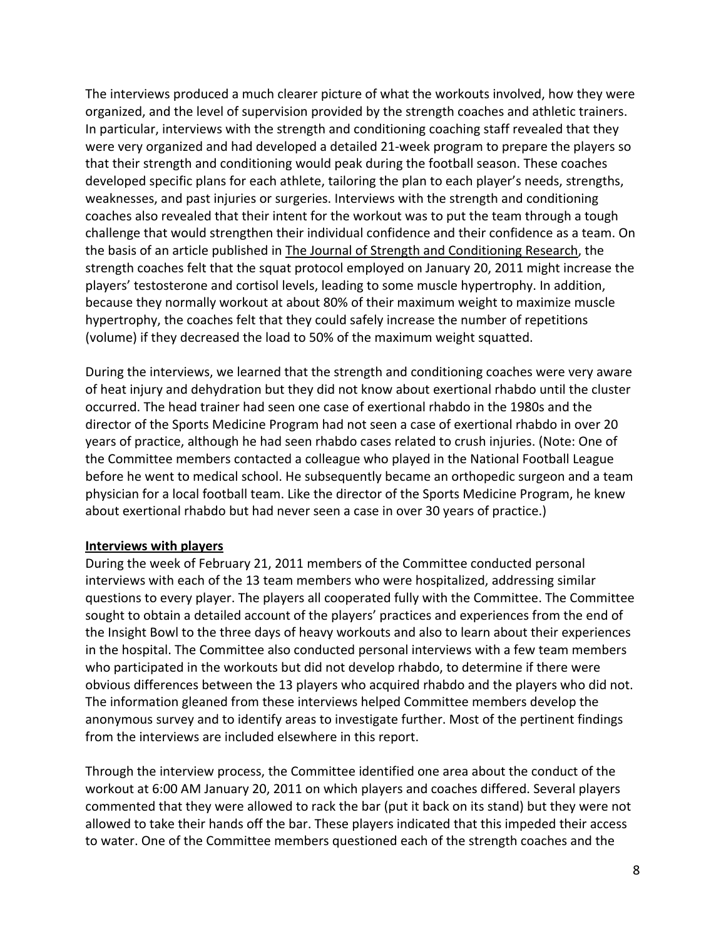The interviews produced a much clearer picture of what the workouts involved, how they were organized, and the level of supervision provided by the strength coaches and athletic trainers. In particular, interviews with the strength and conditioning coaching staff revealed that they were very organized and had developed a detailed 21‐week program to prepare the players so that their strength and conditioning would peak during the football season. These coaches developed specific plans for each athlete, tailoring the plan to each player's needs, strengths, weaknesses, and past injuries or surgeries. Interviews with the strength and conditioning coaches also revealed that their intent for the workout was to put the team through a tough challenge that would strengthen their individual confidence and their confidence as a team. On the basis of an article published in The Journal of Strength and Conditioning Research, the strength coaches felt that the squat protocol employed on January 20, 2011 might increase the players' testosterone and cortisol levels, leading to some muscle hypertrophy. In addition, because they normally workout at about 80% of their maximum weight to maximize muscle hypertrophy, the coaches felt that they could safely increase the number of repetitions (volume) if they decreased the load to 50% of the maximum weight squatted.

During the interviews, we learned that the strength and conditioning coaches were very aware of heat injury and dehydration but they did not know about exertional rhabdo until the cluster occurred. The head trainer had seen one case of exertional rhabdo in the 1980s and the director of the Sports Medicine Program had not seen a case of exertional rhabdo in over 20 years of practice, although he had seen rhabdo cases related to crush injuries. (Note: One of the Committee members contacted a colleague who played in the National Football League before he went to medical school. He subsequently became an orthopedic surgeon and a team physician for a local football team. Like the director of the Sports Medicine Program, he knew about exertional rhabdo but had never seen a case in over 30 years of practice.)

#### **Interviews with players**

During the week of February 21, 2011 members of the Committee conducted personal interviews with each of the 13 team members who were hospitalized, addressing similar questions to every player. The players all cooperated fully with the Committee. The Committee sought to obtain a detailed account of the players' practices and experiences from the end of the Insight Bowl to the three days of heavy workouts and also to learn about their experiences in the hospital. The Committee also conducted personal interviews with a few team members who participated in the workouts but did not develop rhabdo, to determine if there were obvious differences between the 13 players who acquired rhabdo and the players who did not. The information gleaned from these interviews helped Committee members develop the anonymous survey and to identify areas to investigate further. Most of the pertinent findings from the interviews are included elsewhere in this report.

Through the interview process, the Committee identified one area about the conduct of the workout at 6:00 AM January 20, 2011 on which players and coaches differed. Several players commented that they were allowed to rack the bar (put it back on its stand) but they were not allowed to take their hands off the bar. These players indicated that this impeded their access to water. One of the Committee members questioned each of the strength coaches and the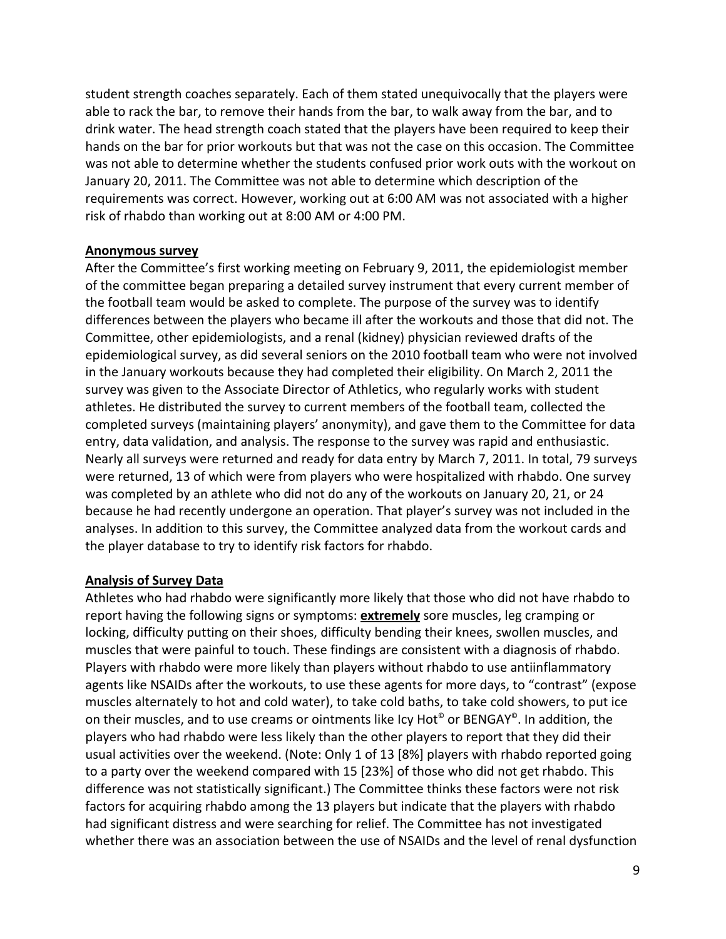student strength coaches separately. Each of them stated unequivocally that the players were able to rack the bar, to remove their hands from the bar, to walk away from the bar, and to drink water. The head strength coach stated that the players have been required to keep their hands on the bar for prior workouts but that was not the case on this occasion. The Committee was not able to determine whether the students confused prior work outs with the workout on January 20, 2011. The Committee was not able to determine which description of the requirements was correct. However, working out at 6:00 AM was not associated with a higher risk of rhabdo than working out at 8:00 AM or 4:00 PM.

#### **Anonymous survey**

After the Committee's first working meeting on February 9, 2011, the epidemiologist member of the committee began preparing a detailed survey instrument that every current member of the football team would be asked to complete. The purpose of the survey was to identify differences between the players who became ill after the workouts and those that did not. The Committee, other epidemiologists, and a renal (kidney) physician reviewed drafts of the epidemiological survey, as did several seniors on the 2010 football team who were not involved in the January workouts because they had completed their eligibility. On March 2, 2011 the survey was given to the Associate Director of Athletics, who regularly works with student athletes. He distributed the survey to current members of the football team, collected the completed surveys (maintaining players' anonymity), and gave them to the Committee for data entry, data validation, and analysis. The response to the survey was rapid and enthusiastic. Nearly all surveys were returned and ready for data entry by March 7, 2011. In total, 79 surveys were returned, 13 of which were from players who were hospitalized with rhabdo. One survey was completed by an athlete who did not do any of the workouts on January 20, 21, or 24 because he had recently undergone an operation. That player's survey was not included in the analyses. In addition to this survey, the Committee analyzed data from the workout cards and the player database to try to identify risk factors for rhabdo.

#### **Analysis of Survey Data**

Athletes who had rhabdo were significantly more likely that those who did not have rhabdo to report having the following signs or symptoms: **extremely** sore muscles, leg cramping or locking, difficulty putting on their shoes, difficulty bending their knees, swollen muscles, and muscles that were painful to touch. These findings are consistent with a diagnosis of rhabdo. Players with rhabdo were more likely than players without rhabdo to use antiinflammatory agents like NSAIDs after the workouts, to use these agents for more days, to "contrast" (expose muscles alternately to hot and cold water), to take cold baths, to take cold showers, to put ice on their muscles, and to use creams or ointments like Icy Hot<sup>®</sup> or BENGAY<sup>®</sup>. In addition, the players who had rhabdo were less likely than the other players to report that they did their usual activities over the weekend. (Note: Only 1 of 13 [8%] players with rhabdo reported going to a party over the weekend compared with 15 [23%] of those who did not get rhabdo. This difference was not statistically significant.) The Committee thinks these factors were not risk factors for acquiring rhabdo among the 13 players but indicate that the players with rhabdo had significant distress and were searching for relief. The Committee has not investigated whether there was an association between the use of NSAIDs and the level of renal dysfunction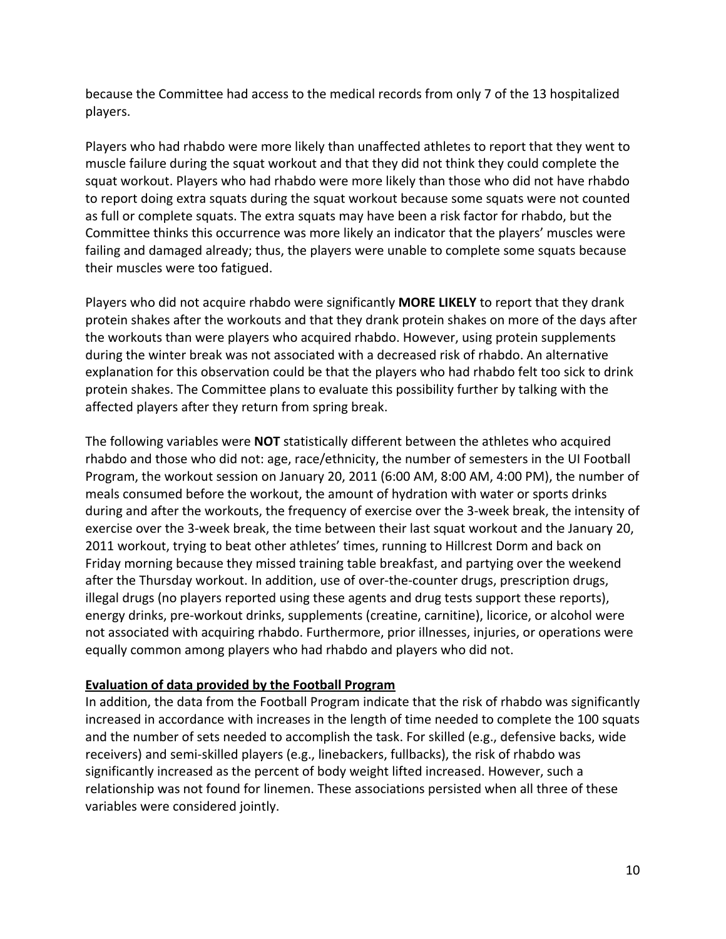because the Committee had access to the medical records from only 7 of the 13 hospitalized players.

Players who had rhabdo were more likely than unaffected athletes to report that they went to muscle failure during the squat workout and that they did not think they could complete the squat workout. Players who had rhabdo were more likely than those who did not have rhabdo to report doing extra squats during the squat workout because some squats were not counted as full or complete squats. The extra squats may have been a risk factor for rhabdo, but the Committee thinks this occurrence was more likely an indicator that the players' muscles were failing and damaged already; thus, the players were unable to complete some squats because their muscles were too fatigued.

Players who did not acquire rhabdo were significantly **MORE LIKELY** to report that they drank protein shakes after the workouts and that they drank protein shakes on more of the days after the workouts than were players who acquired rhabdo. However, using protein supplements during the winter break was not associated with a decreased risk of rhabdo. An alternative explanation for this observation could be that the players who had rhabdo felt too sick to drink protein shakes. The Committee plans to evaluate this possibility further by talking with the affected players after they return from spring break.

The following variables were **NOT** statistically different between the athletes who acquired rhabdo and those who did not: age, race/ethnicity, the number of semesters in the UI Football Program, the workout session on January 20, 2011 (6:00 AM, 8:00 AM, 4:00 PM), the number of meals consumed before the workout, the amount of hydration with water or sports drinks during and after the workouts, the frequency of exercise over the 3‐week break, the intensity of exercise over the 3-week break, the time between their last squat workout and the January 20, 2011 workout, trying to beat other athletes' times, running to Hillcrest Dorm and back on Friday morning because they missed training table breakfast, and partying over the weekend after the Thursday workout. In addition, use of over‐the‐counter drugs, prescription drugs, illegal drugs (no players reported using these agents and drug tests support these reports), energy drinks, pre‐workout drinks, supplements (creatine, carnitine), licorice, or alcohol were not associated with acquiring rhabdo. Furthermore, prior illnesses, injuries, or operations were equally common among players who had rhabdo and players who did not.

## **Evaluation of data provided by the Football Program**

In addition, the data from the Football Program indicate that the risk of rhabdo was significantly increased in accordance with increases in the length of time needed to complete the 100 squats and the number of sets needed to accomplish the task. For skilled (e.g., defensive backs, wide receivers) and semi‐skilled players (e.g., linebackers, fullbacks), the risk of rhabdo was significantly increased as the percent of body weight lifted increased. However, such a relationship was not found for linemen. These associations persisted when all three of these variables were considered jointly.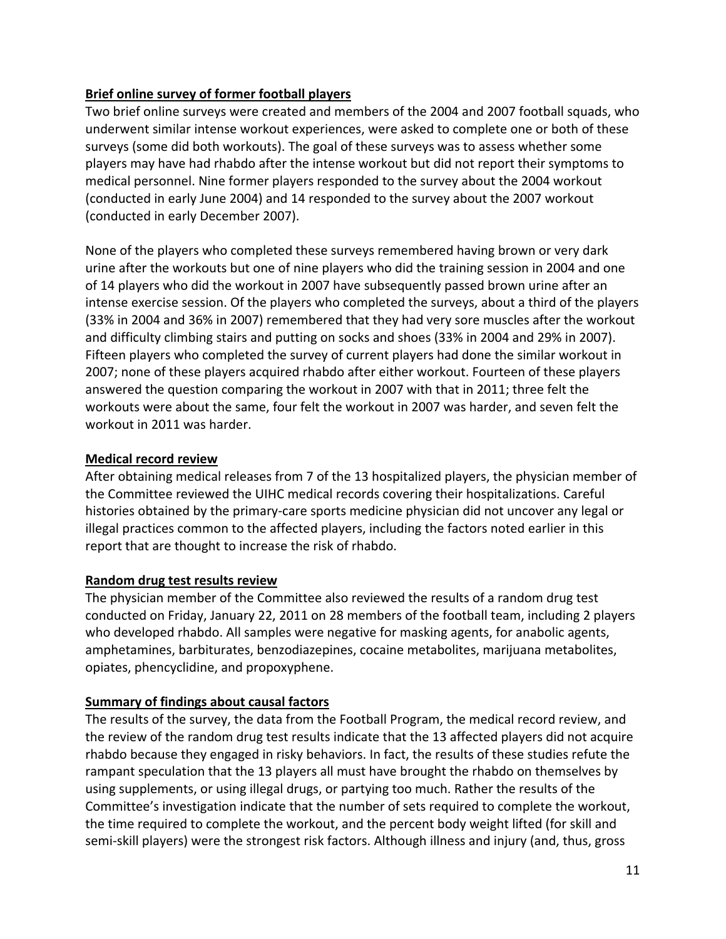## **Brief online survey of former football players**

Two brief online surveys were created and members of the 2004 and 2007 football squads, who underwent similar intense workout experiences, were asked to complete one or both of these surveys (some did both workouts). The goal of these surveys was to assess whether some players may have had rhabdo after the intense workout but did not report their symptoms to medical personnel. Nine former players responded to the survey about the 2004 workout (conducted in early June 2004) and 14 responded to the survey about the 2007 workout (conducted in early December 2007).

None of the players who completed these surveys remembered having brown or very dark urine after the workouts but one of nine players who did the training session in 2004 and one of 14 players who did the workout in 2007 have subsequently passed brown urine after an intense exercise session. Of the players who completed the surveys, about a third of the players (33% in 2004 and 36% in 2007) remembered that they had very sore muscles after the workout and difficulty climbing stairs and putting on socks and shoes (33% in 2004 and 29% in 2007). Fifteen players who completed the survey of current players had done the similar workout in 2007; none of these players acquired rhabdo after either workout. Fourteen of these players answered the question comparing the workout in 2007 with that in 2011; three felt the workouts were about the same, four felt the workout in 2007 was harder, and seven felt the workout in 2011 was harder.

## **Medical record review**

After obtaining medical releases from 7 of the 13 hospitalized players, the physician member of the Committee reviewed the UIHC medical records covering their hospitalizations. Careful histories obtained by the primary‐care sports medicine physician did not uncover any legal or illegal practices common to the affected players, including the factors noted earlier in this report that are thought to increase the risk of rhabdo.

# **Random drug test results review**

The physician member of the Committee also reviewed the results of a random drug test conducted on Friday, January 22, 2011 on 28 members of the football team, including 2 players who developed rhabdo. All samples were negative for masking agents, for anabolic agents, amphetamines, barbiturates, benzodiazepines, cocaine metabolites, marijuana metabolites, opiates, phencyclidine, and propoxyphene.

# **Summary of findings about causal factors**

The results of the survey, the data from the Football Program, the medical record review, and the review of the random drug test results indicate that the 13 affected players did not acquire rhabdo because they engaged in risky behaviors. In fact, the results of these studies refute the rampant speculation that the 13 players all must have brought the rhabdo on themselves by using supplements, or using illegal drugs, or partying too much. Rather the results of the Committee's investigation indicate that the number of sets required to complete the workout, the time required to complete the workout, and the percent body weight lifted (for skill and semi-skill players) were the strongest risk factors. Although illness and injury (and, thus, gross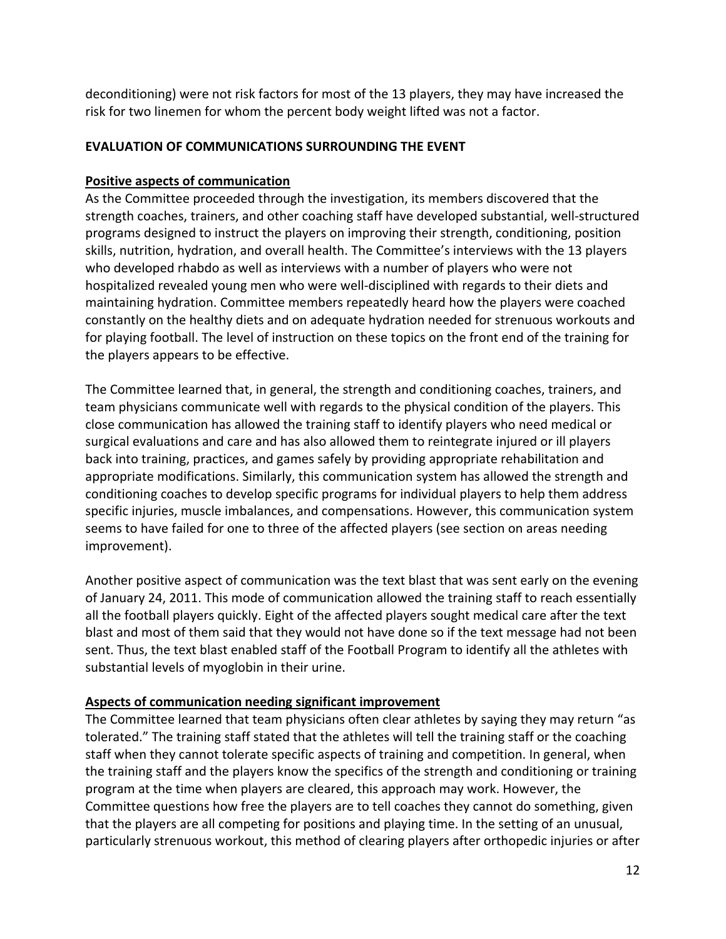deconditioning) were not risk factors for most of the 13 players, they may have increased the risk for two linemen for whom the percent body weight lifted was not a factor.

## **EVALUATION OF COMMUNICATIONS SURROUNDING THE EVENT**

#### **Positive aspects of communication**

As the Committee proceeded through the investigation, its members discovered that the strength coaches, trainers, and other coaching staff have developed substantial, well‐structured programs designed to instruct the players on improving their strength, conditioning, position skills, nutrition, hydration, and overall health. The Committee's interviews with the 13 players who developed rhabdo as well as interviews with a number of players who were not hospitalized revealed young men who were well‐disciplined with regards to their diets and maintaining hydration. Committee members repeatedly heard how the players were coached constantly on the healthy diets and on adequate hydration needed for strenuous workouts and for playing football. The level of instruction on these topics on the front end of the training for the players appears to be effective.

The Committee learned that, in general, the strength and conditioning coaches, trainers, and team physicians communicate well with regards to the physical condition of the players. This close communication has allowed the training staff to identify players who need medical or surgical evaluations and care and has also allowed them to reintegrate injured or ill players back into training, practices, and games safely by providing appropriate rehabilitation and appropriate modifications. Similarly, this communication system has allowed the strength and conditioning coaches to develop specific programs for individual players to help them address specific injuries, muscle imbalances, and compensations. However, this communication system seems to have failed for one to three of the affected players (see section on areas needing improvement).

Another positive aspect of communication was the text blast that was sent early on the evening of January 24, 2011. This mode of communication allowed the training staff to reach essentially all the football players quickly. Eight of the affected players sought medical care after the text blast and most of them said that they would not have done so if the text message had not been sent. Thus, the text blast enabled staff of the Football Program to identify all the athletes with substantial levels of myoglobin in their urine.

## **Aspects of communication needing significant improvement**

The Committee learned that team physicians often clear athletes by saying they may return "as tolerated." The training staff stated that the athletes will tell the training staff or the coaching staff when they cannot tolerate specific aspects of training and competition. In general, when the training staff and the players know the specifics of the strength and conditioning or training program at the time when players are cleared, this approach may work. However, the Committee questions how free the players are to tell coaches they cannot do something, given that the players are all competing for positions and playing time. In the setting of an unusual, particularly strenuous workout, this method of clearing players after orthopedic injuries or after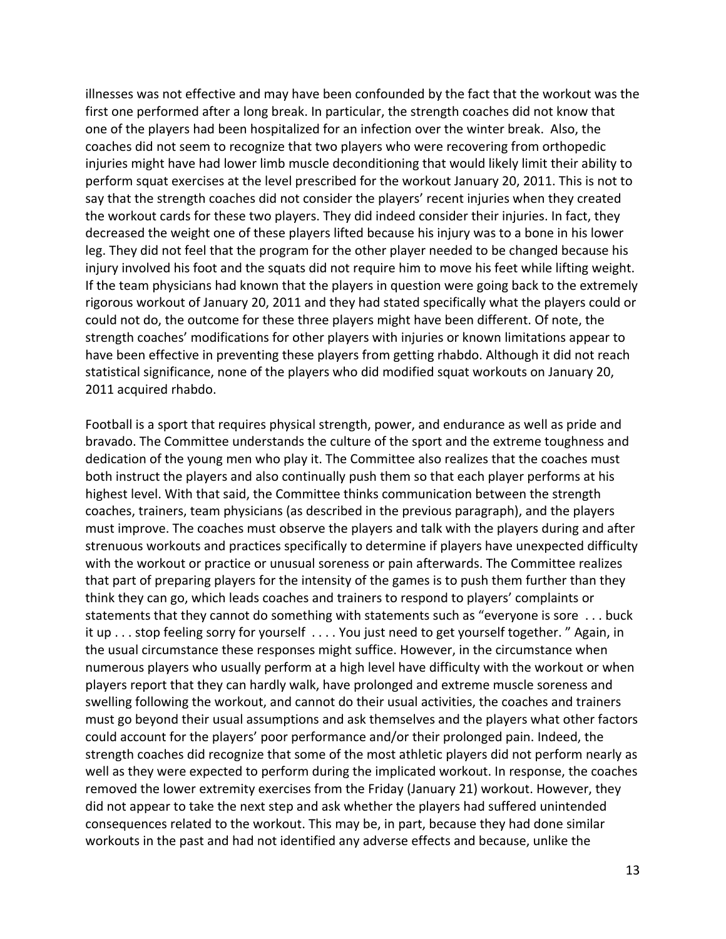illnesses was not effective and may have been confounded by the fact that the workout was the first one performed after a long break. In particular, the strength coaches did not know that one of the players had been hospitalized for an infection over the winter break. Also, the coaches did not seem to recognize that two players who were recovering from orthopedic injuries might have had lower limb muscle deconditioning that would likely limit their ability to perform squat exercises at the level prescribed for the workout January 20, 2011. This is not to say that the strength coaches did not consider the players' recent injuries when they created the workout cards for these two players. They did indeed consider their injuries. In fact, they decreased the weight one of these players lifted because his injury was to a bone in his lower leg. They did not feel that the program for the other player needed to be changed because his injury involved his foot and the squats did not require him to move his feet while lifting weight. If the team physicians had known that the players in question were going back to the extremely rigorous workout of January 20, 2011 and they had stated specifically what the players could or could not do, the outcome for these three players might have been different. Of note, the strength coaches' modifications for other players with injuries or known limitations appear to have been effective in preventing these players from getting rhabdo. Although it did not reach statistical significance, none of the players who did modified squat workouts on January 20, 2011 acquired rhabdo.

Football is a sport that requires physical strength, power, and endurance as well as pride and bravado. The Committee understands the culture of the sport and the extreme toughness and dedication of the young men who play it. The Committee also realizes that the coaches must both instruct the players and also continually push them so that each player performs at his highest level. With that said, the Committee thinks communication between the strength coaches, trainers, team physicians (as described in the previous paragraph), and the players must improve. The coaches must observe the players and talk with the players during and after strenuous workouts and practices specifically to determine if players have unexpected difficulty with the workout or practice or unusual soreness or pain afterwards. The Committee realizes that part of preparing players for the intensity of the games is to push them further than they think they can go, which leads coaches and trainers to respond to players' complaints or statements that they cannot do something with statements such as "everyone is sore . . . buck it up . . . stop feeling sorry for yourself . . . . You just need to get yourself together. " Again, in the usual circumstance these responses might suffice. However, in the circumstance when numerous players who usually perform at a high level have difficulty with the workout or when players report that they can hardly walk, have prolonged and extreme muscle soreness and swelling following the workout, and cannot do their usual activities, the coaches and trainers must go beyond their usual assumptions and ask themselves and the players what other factors could account for the players' poor performance and/or their prolonged pain. Indeed, the strength coaches did recognize that some of the most athletic players did not perform nearly as well as they were expected to perform during the implicated workout. In response, the coaches removed the lower extremity exercises from the Friday (January 21) workout. However, they did not appear to take the next step and ask whether the players had suffered unintended consequences related to the workout. This may be, in part, because they had done similar workouts in the past and had not identified any adverse effects and because, unlike the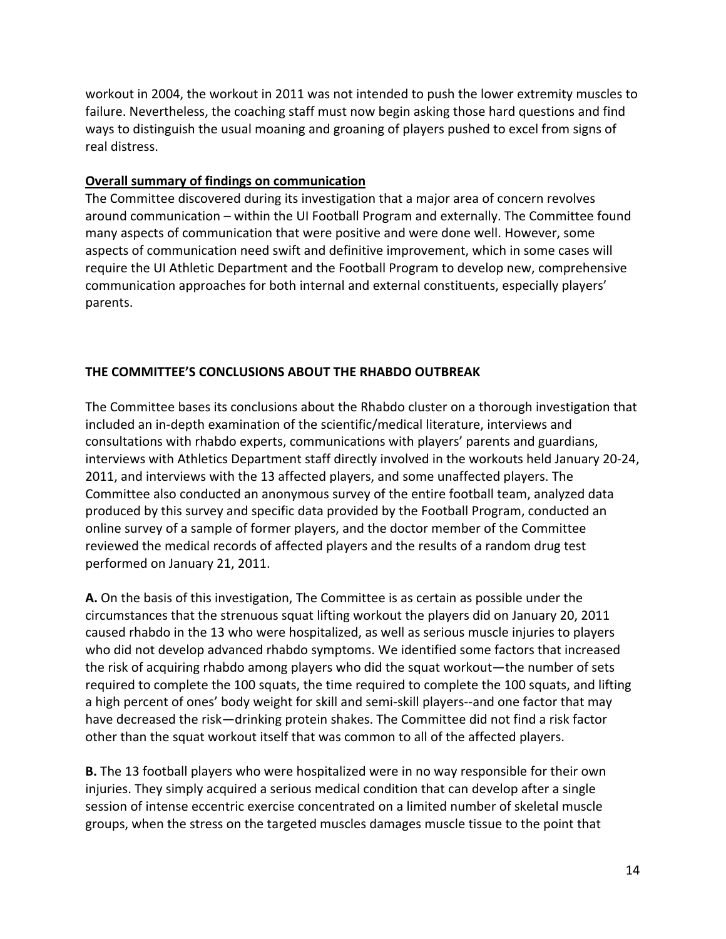workout in 2004, the workout in 2011 was not intended to push the lower extremity muscles to failure. Nevertheless, the coaching staff must now begin asking those hard questions and find ways to distinguish the usual moaning and groaning of players pushed to excel from signs of real distress.

### **Overall summary of findings on communication**

The Committee discovered during its investigation that a major area of concern revolves around communication – within the UI Football Program and externally. The Committee found many aspects of communication that were positive and were done well. However, some aspects of communication need swift and definitive improvement, which in some cases will require the UI Athletic Department and the Football Program to develop new, comprehensive communication approaches for both internal and external constituents, especially players' parents.

## **THE COMMITTEE'S CONCLUSIONS ABOUT THE RHABDO OUTBREAK**

The Committee bases its conclusions about the Rhabdo cluster on a thorough investigation that included an in‐depth examination of the scientific/medical literature, interviews and consultations with rhabdo experts, communications with players' parents and guardians, interviews with Athletics Department staff directly involved in the workouts held January 20‐24, 2011, and interviews with the 13 affected players, and some unaffected players. The Committee also conducted an anonymous survey of the entire football team, analyzed data produced by this survey and specific data provided by the Football Program, conducted an online survey of a sample of former players, and the doctor member of the Committee reviewed the medical records of affected players and the results of a random drug test performed on January 21, 2011.

**A.** On the basis of this investigation, The Committee is as certain as possible under the circumstances that the strenuous squat lifting workout the players did on January 20, 2011 caused rhabdo in the 13 who were hospitalized, as well as serious muscle injuries to players who did not develop advanced rhabdo symptoms. We identified some factors that increased the risk of acquiring rhabdo among players who did the squat workout—the number of sets required to complete the 100 squats, the time required to complete the 100 squats, and lifting a high percent of ones' body weight for skill and semi‐skill players‐‐and one factor that may have decreased the risk—drinking protein shakes. The Committee did not find a risk factor other than the squat workout itself that was common to all of the affected players.

**B.** The 13 football players who were hospitalized were in no way responsible for their own injuries. They simply acquired a serious medical condition that can develop after a single session of intense eccentric exercise concentrated on a limited number of skeletal muscle groups, when the stress on the targeted muscles damages muscle tissue to the point that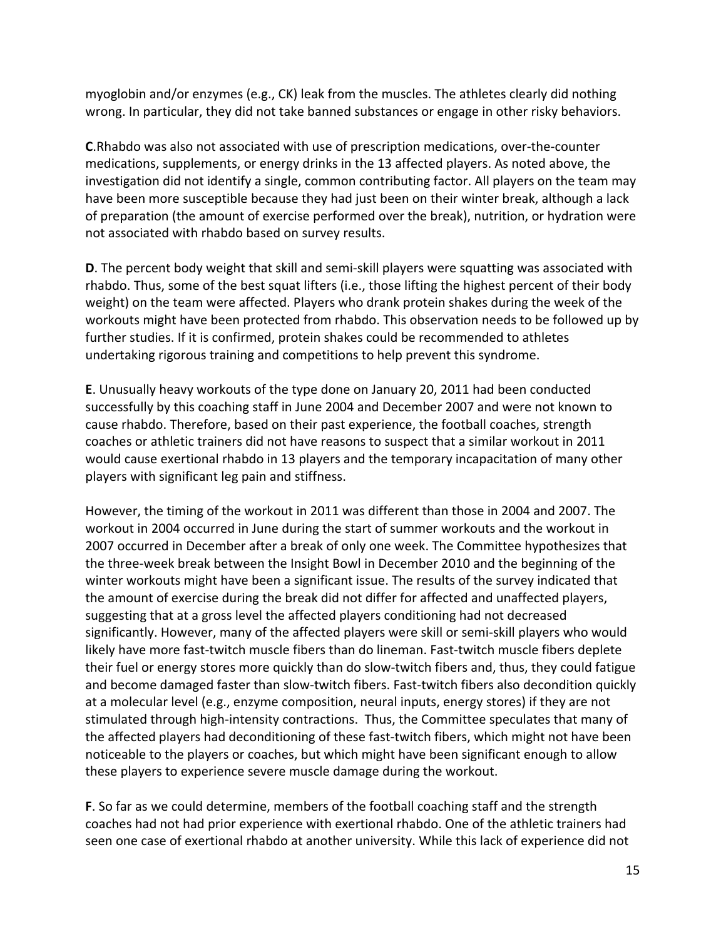myoglobin and/or enzymes (e.g., CK) leak from the muscles. The athletes clearly did nothing wrong. In particular, they did not take banned substances or engage in other risky behaviors.

**C**.Rhabdo was also not associated with use of prescription medications, over‐the‐counter medications, supplements, or energy drinks in the 13 affected players. As noted above, the investigation did not identify a single, common contributing factor. All players on the team may have been more susceptible because they had just been on their winter break, although a lack of preparation (the amount of exercise performed over the break), nutrition, or hydration were not associated with rhabdo based on survey results.

**D**. The percent body weight that skill and semi‐skill players were squatting was associated with rhabdo. Thus, some of the best squat lifters (i.e., those lifting the highest percent of their body weight) on the team were affected. Players who drank protein shakes during the week of the workouts might have been protected from rhabdo. This observation needs to be followed up by further studies. If it is confirmed, protein shakes could be recommended to athletes undertaking rigorous training and competitions to help prevent this syndrome.

**E**. Unusually heavy workouts of the type done on January 20, 2011 had been conducted successfully by this coaching staff in June 2004 and December 2007 and were not known to cause rhabdo. Therefore, based on their past experience, the football coaches, strength coaches or athletic trainers did not have reasons to suspect that a similar workout in 2011 would cause exertional rhabdo in 13 players and the temporary incapacitation of many other players with significant leg pain and stiffness.

However, the timing of the workout in 2011 was different than those in 2004 and 2007. The workout in 2004 occurred in June during the start of summer workouts and the workout in 2007 occurred in December after a break of only one week. The Committee hypothesizes that the three‐week break between the Insight Bowl in December 2010 and the beginning of the winter workouts might have been a significant issue. The results of the survey indicated that the amount of exercise during the break did not differ for affected and unaffected players, suggesting that at a gross level the affected players conditioning had not decreased significantly. However, many of the affected players were skill or semi‐skill players who would likely have more fast-twitch muscle fibers than do lineman. Fast-twitch muscle fibers deplete their fuel or energy stores more quickly than do slow‐twitch fibers and, thus, they could fatigue and become damaged faster than slow-twitch fibers. Fast-twitch fibers also decondition quickly at a molecular level (e.g., enzyme composition, neural inputs, energy stores) if they are not stimulated through high‐intensity contractions. Thus, the Committee speculates that many of the affected players had deconditioning of these fast-twitch fibers, which might not have been noticeable to the players or coaches, but which might have been significant enough to allow these players to experience severe muscle damage during the workout.

**F**. So far as we could determine, members of the football coaching staff and the strength coaches had not had prior experience with exertional rhabdo. One of the athletic trainers had seen one case of exertional rhabdo at another university. While this lack of experience did not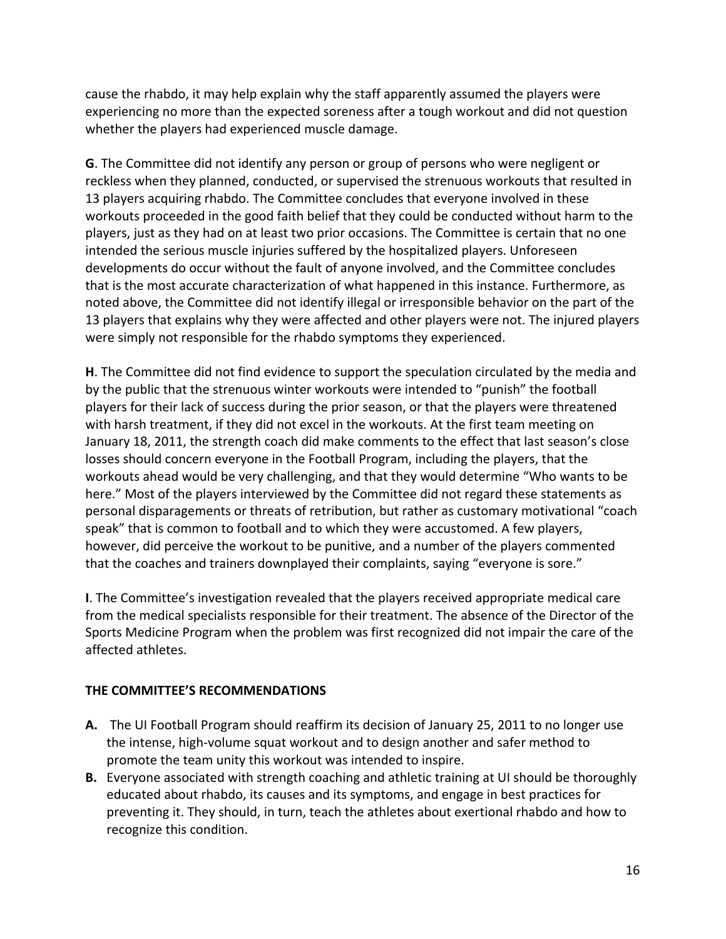cause the rhabdo, it may help explain why the staff apparently assumed the players were experiencing no more than the expected soreness after a tough workout and did not question whether the players had experienced muscle damage.

**G**. The Committee did not identify any person or group of persons who were negligent or reckless when they planned, conducted, or supervised the strenuous workouts that resulted in 13 players acquiring rhabdo. The Committee concludes that everyone involved in these workouts proceeded in the good faith belief that they could be conducted without harm to the players, just as they had on at least two prior occasions. The Committee is certain that no one intended the serious muscle injuries suffered by the hospitalized players. Unforeseen developments do occur without the fault of anyone involved, and the Committee concludes that is the most accurate characterization of what happened in this instance. Furthermore, as noted above, the Committee did not identify illegal or irresponsible behavior on the part of the 13 players that explains why they were affected and other players were not. The injured players were simply not responsible for the rhabdo symptoms they experienced.

**H**. The Committee did not find evidence to support the speculation circulated by the media and by the public that the strenuous winter workouts were intended to "punish" the football players for their lack of success during the prior season, or that the players were threatened with harsh treatment, if they did not excel in the workouts. At the first team meeting on January 18, 2011, the strength coach did make comments to the effect that last season's close losses should concern everyone in the Football Program, including the players, that the workouts ahead would be very challenging, and that they would determine "Who wants to be here." Most of the players interviewed by the Committee did not regard these statements as personal disparagements or threats of retribution, but rather as customary motivational "coach speak" that is common to football and to which they were accustomed. A few players, however, did perceive the workout to be punitive, and a number of the players commented that the coaches and trainers downplayed their complaints, saying "everyone is sore."

**I**. The Committee's investigation revealed that the players received appropriate medical care from the medical specialists responsible for their treatment. The absence of the Director of the Sports Medicine Program when the problem was first recognized did not impair the care of the affected athletes.

## **THE COMMITTEE'S RECOMMENDATIONS**

- **A.** The UI Football Program should reaffirm its decision of January 25, 2011 to no longer use the intense, high‐volume squat workout and to design another and safer method to promote the team unity this workout was intended to inspire.
- **B.** Everyone associated with strength coaching and athletic training at UI should be thoroughly educated about rhabdo, its causes and its symptoms, and engage in best practices for preventing it. They should, in turn, teach the athletes about exertional rhabdo and how to recognize this condition.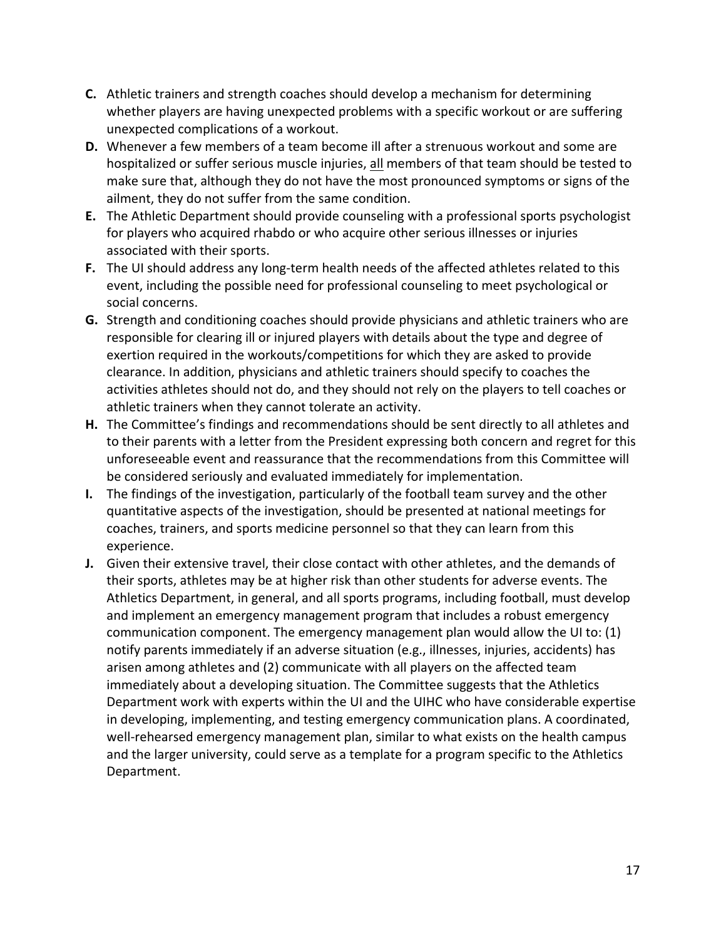- **C.** Athletic trainers and strength coaches should develop a mechanism for determining whether players are having unexpected problems with a specific workout or are suffering unexpected complications of a workout.
- **D.** Whenever a few members of a team become ill after a strenuous workout and some are hospitalized or suffer serious muscle injuries, all members of that team should be tested to make sure that, although they do not have the most pronounced symptoms or signs of the ailment, they do not suffer from the same condition.
- **E.** The Athletic Department should provide counseling with a professional sports psychologist for players who acquired rhabdo or who acquire other serious illnesses or injuries associated with their sports.
- F. The UI should address any long-term health needs of the affected athletes related to this event, including the possible need for professional counseling to meet psychological or social concerns.
- **G.** Strength and conditioning coaches should provide physicians and athletic trainers who are responsible for clearing ill or injured players with details about the type and degree of exertion required in the workouts/competitions for which they are asked to provide clearance. In addition, physicians and athletic trainers should specify to coaches the activities athletes should not do, and they should not rely on the players to tell coaches or athletic trainers when they cannot tolerate an activity.
- **H.** The Committee's findings and recommendations should be sent directly to all athletes and to their parents with a letter from the President expressing both concern and regret for this unforeseeable event and reassurance that the recommendations from this Committee will be considered seriously and evaluated immediately for implementation.
- **I.** The findings of the investigation, particularly of the football team survey and the other quantitative aspects of the investigation, should be presented at national meetings for coaches, trainers, and sports medicine personnel so that they can learn from this experience.
- **J.** Given their extensive travel, their close contact with other athletes, and the demands of their sports, athletes may be at higher risk than other students for adverse events. The Athletics Department, in general, and all sports programs, including football, must develop and implement an emergency management program that includes a robust emergency communication component. The emergency management plan would allow the UI to: (1) notify parents immediately if an adverse situation (e.g., illnesses, injuries, accidents) has arisen among athletes and (2) communicate with all players on the affected team immediately about a developing situation. The Committee suggests that the Athletics Department work with experts within the UI and the UIHC who have considerable expertise in developing, implementing, and testing emergency communication plans. A coordinated, well-rehearsed emergency management plan, similar to what exists on the health campus and the larger university, could serve as a template for a program specific to the Athletics Department.